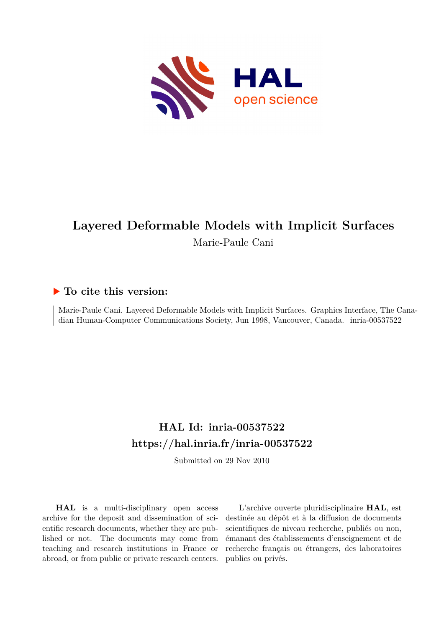

# **Layered Deformable Models with Implicit Surfaces** Marie-Paule Cani

# **To cite this version:**

Marie-Paule Cani. Layered Deformable Models with Implicit Surfaces. Graphics Interface, The Canadian Human-Computer Communications Society, Jun 1998, Vancouver, Canada. inria-00537522

# **HAL Id: inria-00537522 <https://hal.inria.fr/inria-00537522>**

Submitted on 29 Nov 2010

**HAL** is a multi-disciplinary open access archive for the deposit and dissemination of scientific research documents, whether they are published or not. The documents may come from teaching and research institutions in France or abroad, or from public or private research centers.

L'archive ouverte pluridisciplinaire **HAL**, est destinée au dépôt et à la diffusion de documents scientifiques de niveau recherche, publiés ou non, émanant des établissements d'enseignement et de recherche français ou étrangers, des laboratoires publics ou privés.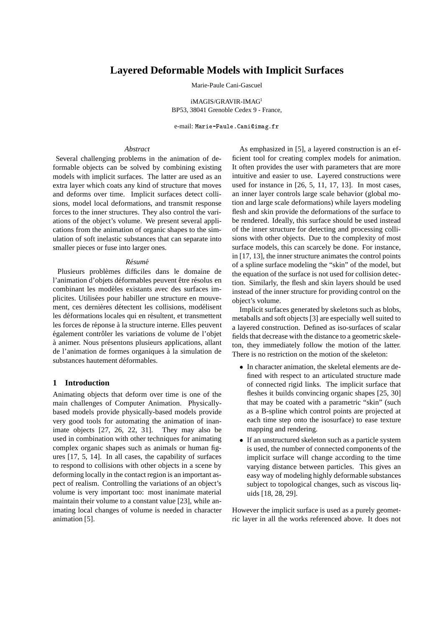# **Layered Deformable Models with Implicit Surfaces**

Marie-Paule Cani-Gascuel

iMAGIS/GRAVIR-IMAG<sup>1</sup> BP53, 38041 Grenoble Cedex 9 - France,

e-mail: Marie-Paule.Cani@imag.fr

#### *Abstract*

Several challenging problems in the animation of deformable objects can be solved by combining existing models with implicit surfaces. The latter are used as an extra layer which coats any kind of structure that moves and deforms over time. Implicit surfaces detect collisions, model local deformations, and transmit response forces to the inner structures. They also control the variations of the object's volume. We present several applications from the animation of organic shapes to the simulation of soft inelastic substances that can separate into smaller pieces or fuse into larger ones.

#### *Resum ´ e´*

Plusieurs problèmes difficiles dans le domaine de l'animation d'objets déformables peuvent être résolus en combinant les modèles existants avec des surfaces implicites. Utilisées pour habiller une structure en mouvement, ces dernières détectent les collisions, modélisent les déformations locales qui en résultent, et transmettent les forces de réponse à la structure interne. Elles peuvent également contrôler les variations de volume de l'objet  $\alpha$  animer. Nous présentons plusieurs applications, allant de l'animation de formes organiques à la simulation de substances hautement déformables.

#### **1 Introduction**

Animating objects that deform over time is one of the main challenges of Computer Animation. Physicallybased models provide physically-based models provide very good tools for automating the animation of inanimate objects [27, 26, 22, 31]. They may also be used in combination with other techniques for animating complex organic shapes such as animals or human figures [17, 5, 14]. In all cases, the capability of surfaces to respond to collisions with other objects in a scene by deforming locally in the contact region is an important aspect of realism. Controlling the variations of an object's volume is very important too: most inanimate material maintain their volume to a constant value [23], while animating local changes of volume is needed in character animation [5].

As emphasized in [5], a layered construction is an efficient tool for creating complex models for animation. It often provides the user with parameters that are more intuitive and easier to use. Layered constructions were used for instance in [26, 5, 11, 17, 13]. In most cases, an inner layer controls large scale behavior (global motion and large scale deformations) while layers modeling flesh and skin provide the deformations of the surface to be rendered. Ideally, this surface should be used instead of the inner structure for detecting and processing collisions with other objects. Due to the complexity of most surface models, this can scarcely be done. For instance, in [17, 13], the inner structure animates the control points of a spline surface modeling the "skin" of the model, but the equation of the surface is not used for collision detection. Similarly, the flesh and skin layers should be used instead of the inner structure for providing control on the object's volume.

Implicit surfaces generated by skeletons such as blobs, metaballs and soft objects [3] are especially well suited to a layered construction. Defined as iso-surfaces of scalar fields that decrease with the distance to a geometric skeleton, they immediately follow the motion of the latter. There is no restriction on the motion of the skeleton:

- In character animation, the skeletal elements are defined with respect to an articulated structure made of connected rigid links. The implicit surface that fleshes it builds convincing organic shapes [25, 30] that may be coated with a parametric "skin" (such as a B-spline which control points are projected at each time step onto the isosurface) to ease texture mapping and rendering.
- If an unstructured skeleton such as a particle system is used, the number of connected components of the implicit surface will change according to the time varying distance between particles. This gives an easy way of modeling highly deformable substances subject to topological changes, such as viscous liquids [18, 28, 29].

However the implicit surface is used as a purely geometric layer in all the works referenced above. It does not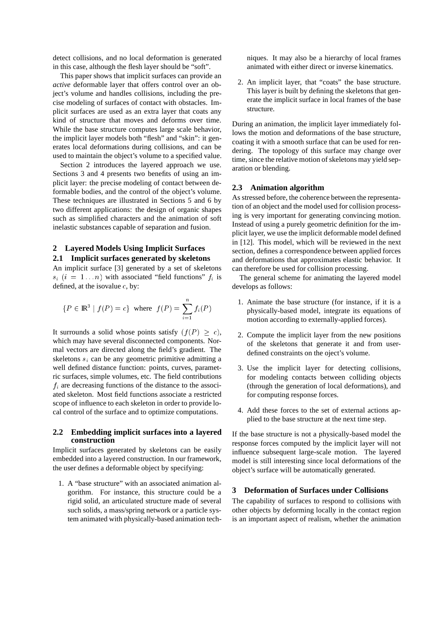detect collisions, and no local deformation is generated in this case, although the flesh layer should be "soft".

This paper shows that implicit surfaces can provide an *active* deformable layer that offers control over an object's volume and handles collisions, including the precise modeling of surfaces of contact with obstacles. Implicit surfaces are used as an extra layer that coats any kind of structure that moves and deforms over time. While the base structure computes large scale behavior, the implicit layer models both "flesh" and "skin": it generates local deformations during collisions, and can be used to maintain the object's volume to a specified value.

Section 2 introduces the layered approach we use. Sections 3 and 4 presents two benefits of using an implicit layer: the precise modeling of contact between deformable bodies, and the control of the object's volume. These techniques are illustrated in Sections 5 and 6 by two different applications: the design of organic shapes such as simplified characters and the animation of soft inelastic substances capable of separation and fusion.

# **2 Layered Models Using Implicit Surfaces 2.1 Implicit surfaces generated by skeletons**

An implicit surface [3] generated by a set of skeletons  $s_i$  (i = 1... n) with associated "field functions"  $f_i$  is defined, at the isovalue  $c$ , by:

$$
\{P \in \mathbb{R}^3 \mid f(P) = c\} \text{ where } f(P) = \sum_{i=1}^n f_i(P)
$$

It surrounds a solid whose points satisfy  $(f(P) > c)$ , which may have several disconnected components. Normal vectors are directed along the field's gradient. The skeletons  $s_i$  can be any geometric primitive admitting a well defined distance function: points, curves, parametric surfaces, simple volumes, etc. The field contributions  $f_i$  are decreasing functions of the distance to the associated skeleton. Most field functions associate a restricted scope of influence to each skeleton in order to provide local control of the surface and to optimize computations.

#### **2.2 Embedding implicit surfaces into a layered construction**

Implicit surfaces generated by skeletons can be easily embedded into a layered construction. In our framework, the user defines a deformable object by specifying:

1. A "base structure" with an associated animation algorithm. For instance, this structure could be a rigid solid, an articulated structure made of several such solids, a mass/spring network or a particle system animated with physically-based animation techniques. It may also be a hierarchy of local frames animated with either direct or inverse kinematics.

2. An implicit layer, that "coats" the base structure. This layer is built by defining the skeletons that generate the implicit surface in local frames of the base structure.

During an animation, the implicit layer immediately follows the motion and deformations of the base structure, coating it with a smooth surface that can be used for rendering. The topology of this surface may change over time, since the relative motion of skeletons may yield separation or blending.

#### **2.3 Animation algorithm**

As stressed before, the coherence between the representation of an object and the model used for collision processing is very important for generating convincing motion. Instead of using a purely geometric definition for the implicit layer, we use the implicit deformable model defined in [12]. This model, which will be reviewed in the next section, defines a correspondence between applied forces and deformations that approximates elastic behavior. It can therefore be used for collision processing.

The general scheme for animating the layered model develops as follows:

- 1. Animate the base structure (for instance, if it is a physically-based model, integrate its equations of motion according to externally-applied forces).
- 2. Compute the implicit layer from the new positions of the skeletons that generate it and from userdefined constraints on the oject's volume.
- 3. Use the implicit layer for detecting collisions, for modeling contacts between colliding objects (through the generation of local deformations), and for computing response forces.
- 4. Add these forces to the set of external actions applied to the base structure at the next time step.

If the base structure is not a physically-based model the response forces computed by the implicit layer will not influence subsequent large-scale motion. The layered model is still interesting since local deformations of the object's surface will be automatically generated.

#### **3 Deformation of Surfaces under Collisions**

The capability of surfaces to respond to collisions with other objects by deforming locally in the contact region is an important aspect of realism, whether the animation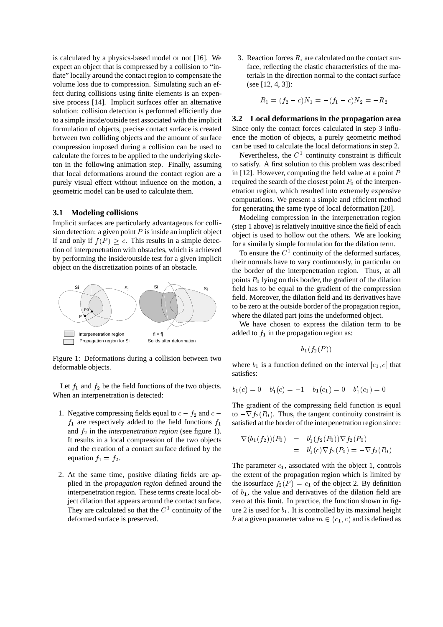is calculated by a physics-based model or not [16]. We expect an object that is compressed by a collision to "inflate" locally around the contact region to compensate the volume loss due to compression. Simulating such an effect during collisions using finite elements is an expensive process [14]. Implicit surfaces offer an alternative solution: collision detection is performed efficiently due to a simple inside/outside test associated with the implicit formulation of objects, precise contact surface is created between two colliding objects and the amount of surface compression imposed during a collision can be used to calculate the forces to be applied to the underlying skeleton in the following animation step. Finally, assuming that local deformations around the contact region are a purely visual effect without influence on the motion, a geometric model can be used to calculate them.

#### **3.1 Modeling collisions**

Implicit surfaces are particularly advantageous for collision detection: a given point  $P$  is inside an implicit object if and only if  $f(P) \geq c$ . This results in a simple detection of interpenetration with obstacles, which is achieved by performing the inside/outside test for a given implicit object on the discretization points of an obstacle.



Figure 1: Deformations during a collision between two deformable objects.

Let  $f_1$  and  $f_2$  be the field functions of the two objects. When an interpenetration is detected:

- 1. Negative compressing fields equal to  $c f_2$  and  $c$  $f_1$  are respectively added to the field functions  $f_1$ and  $f_2$  in the *interpenetration region* (see figure 1). It results in a local compression of the two objects and the creation of a contact surface defined by the equation  $f_1 = f_2$ .
- 2. At the same time, positive dilating fields are applied in the *propagation region* defined around the interpenetration region. These terms create local object dilation that appears around the contact surface. They are calculated so that the  $C<sup>1</sup>$  continuity of the deformed surface is preserved.

3. Reaction forces  $R_i$  are calculated on the contact surface, reflecting the elastic characteristics of the materials in the direction normal to the contact surface (see [12, 4, 3]):

$$
R_1 = (f_2 - c)N_1 = -(f_1 - c)N_2 = -R_2
$$

**3.2 Local deformations in the propagation area** Since only the contact forces calculated in step 3 influence the motion of objects, a purely geometric method can be used to calculate the local deformations in step 2.

Nevertheless, the  $C<sup>1</sup>$  continuity constraint is difficult to satisfy. A first solution to this problem was described in  $[12]$ . However, computing the field value at a point  $P$ required the search of the closest point  $P_0$  of the interpenetration region, which resulted into extremely expensive computations. We present a simple and efficient method for generating the same type of local deformation [20].

Modeling compression in the interpenetration region (step 1 above) is relatively intuitive since the field of each object is used to hollow out the others. We are looking for a similarly simple formulation for the dilation term.

To ensure the  $C<sup>1</sup>$  continuity of the deformed surfaces, their normals have to vary continuously, in particular on the border of the interpenetration region. Thus, at all points  $P_0$  lying on this border, the gradient of the dilation field has to be equal to the gradient of the compression field. Moreover, the dilation field and its derivatives have to be zero at the outside border of the propagation region, where the dilated part joins the undeformed object.

We have chosen to express the dilation term to be added to  $f_1$  in the propagation region as:

$$
b_1(f_2(P))
$$

where  $b_1$  is a function defined on the interval  $[c_1, c]$  that satisfies:

$$
b_1(c) = 0 \quad b'_1(c) = -1 \quad b_1(c_1) = 0 \quad b'_1(c_1) = 0
$$

The gradient of the compressing field function is equal to  $-\nabla f_2(P_0)$ . Thus, the tangent continuity constraint is satisfied at the border of the interpenetration region since:

$$
\nabla (b_1(f_2))(P_0) = b'_1(f_2(P_0)) \nabla f_2(P_0)
$$
  
=  $b'_1(c) \nabla f_2(P_0) = -\nabla f_2(P_0)$ 

The parameter  $c_1$ , associated with the object 1, controls the extent of the propagation region which is limited by the isosurface  $f_2(P) = c_1$  of the object 2. By definition of  $b_1$ , the value and derivatives of the dilation field are zero at this limit. In practice, the function shown in figure 2 is used for  $b_1$ . It is controlled by its maximal height h at a given parameter value  $m \in (c_1, c)$  and is defined as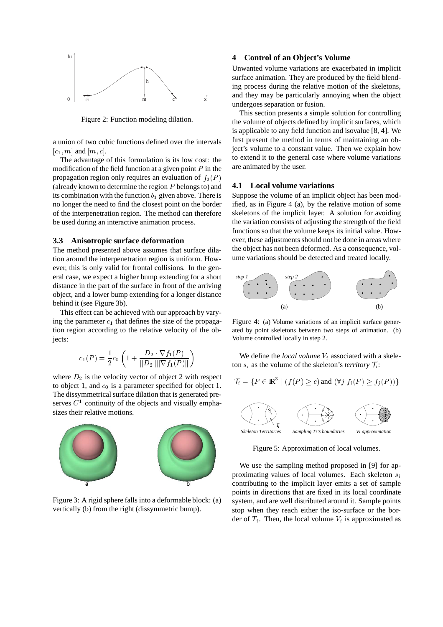

Figure 2: Function modeling dilation.

a union of two cubic functions defined over the intervals  $[c_1, m]$  and  $[m, c]$ .

The advantage of this formulation is its low cost: the modification of the field function at a given point  $P$  in the propagation region only requires an evaluation of  $f_2(P)$ (already known to determine the region  $P$  belongs to) and its combination with the function  $b_1$  given above. There is no longer the need to find the closest point on the border of the interpenetration region. The method can therefore be used during an interactive animation process.

#### **3.3 Anisotropic surface deformation**

The method presented above assumes that surface dilation around the interpenetration region is uniform. However, this is only valid for frontal collisions. In the general case, we expect a higher bump extending for a short distance in the part of the surface in front of the arriving object, and a lower bump extending for a longer distance behind it (see Figure 3b).

This effect can be achieved with our approach by varying the parameter  $c_1$  that defines the size of the propagation region according to the relative velocity of the objects:

$$
c_1(P) = \frac{1}{2}c_0 \left( 1 + \frac{D_2 \cdot \nabla f_1(P)}{\|D_2\| \|\nabla f_1(P)\|} \right)
$$

where  $D_2$  is the velocity vector of object 2 with respect to object 1, and  $c_0$  is a parameter specified for object 1. The dissymmetrical surface dilation that is generated preserves  $C<sup>1</sup>$  continuity of the objects and visually emphasizes their relative motions.



Figure 3: A rigid sphere falls into a deformable block: (a) vertically (b) from the right (dissymmetric bump).

### **4 Control of an Object's Volume**

Unwanted volume variations are exacerbated in implicit surface animation. They are produced by the field blending process during the relative motion of the skeletons, and they may be particularly annoying when the object undergoes separation or fusion.

This section presents a simple solution for controlling the volume of objects defined by implicit surfaces, which is applicable to any field function and isovalue [8, 4]. We first present the method in terms of maintaining an object's volume to a constant value. Then we explain how to extend it to the general case where volume variations are animated by the user.

#### **4.1 Local volume variations**

Suppose the volume of an implicit object has been modified, as in Figure 4 (a), by the relative motion of some skeletons of the implicit layer. A solution for avoiding the variation consists of adjusting the strength of the field functions so that the volume keeps its initial value. However, these adjustments should not be done in areas where the object has not been deformed. As a consequence, volume variations should be detected and treated locally.



Figure 4: (a) Volume variations of an implicit surface generated by point skeletons between two steps of animation. (b) Volume controlled locally in step 2.

We define the *local volume*  $V_i$  associated with a skeleton  $s_i$  as the volume of the skeleton's *territory*  $\mathcal{T}_i$ :

$$
\mathcal{T}_i = \{ P \in \mathbb{R}^3 \mid (f(P) \ge c) \text{ and } (\forall j \ f_i(P) \ge f_j(P)) \}
$$



Figure 5: Approximation of local volumes.

We use the sampling method proposed in [9] for approximating values of local volumes. Each skeleton  $s_i$ contributing to the implicit layer emits a set of sample points in directions that are fixed in its local coordinate system, and are well distributed around it. Sample points stop when they reach either the iso-surface or the border of  $T_i$ . Then, the local volume  $V_i$  is approximated as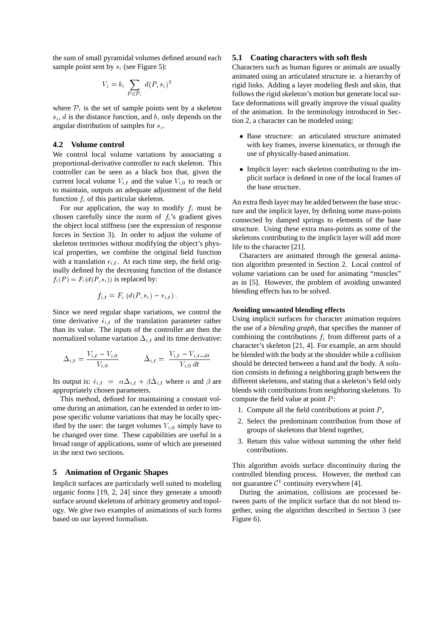the sum of small pyramidal volumes defined around each sample point sent by  $s_i$  (see Figure 5):

$$
V_i = b_i \sum_{P \in \mathcal{P}_i} d(P, s_i)^3
$$

where  $P_i$  is the set of sample points sent by a skeleton  $s_i$ , d is the distance function, and  $b_i$  only depends on the angular distribution of samples for  $s_i$ .

## **4.2 Volume control**

We control local volume variations by associating a proportional-derivative controller to each skeleton. This controller can be seen as a black box that, given the current local volume  $V_{i,t}$  and the value  $V_{i,0}$  to reach or to maintain, outputs an adequate adjustment of the field function  $f_i$  of this particular skeleton.

For our application, the way to modify  $f_i$  must be chosen carefully since the norm of  $f_i$ 's gradient gives the object local stiffness (see the expression of response forces in Section 3). In order to adjust the volume of skeleton territories without modifying the object's physical properties, we combine the original field function with a translation  $\epsilon_{i,t}$ . At each time step, the field originally defined by the decreasing function of the distance  $f_i(P) = F_i(d(P, s_i))$  is replaced by:

$$
f_{i,t} = F_i \left( d(P, s_i) - \epsilon_{i,t} \right).
$$

Since we need regular shape variations, we control the time derivative  $\dot{\epsilon}_{i,t}$  of the translation parameter rather than its value. The inputs of the controller are then the normalized volume variation  $\Delta_{i,t}$  and its time derivative:

$$
\Delta_{i,t} = \frac{V_{i,t} - V_{i,0}}{V_{i,0}} \qquad \dot{\Delta}_{i,t} = \frac{V_{i,t} - V_{i,t-dt}}{V_{i,0} dt}
$$

Its output is:  $\dot{\epsilon}_{i,t} = \alpha \Delta_{i,t} + \beta \Delta_{i,t}$  where  $\alpha$  and  $\beta$  are appropriately chosen parameters.

This method, defined for maintaining a constant volume during an animation, can be extended in order to impose specific volume variations that may be locally specified by the user: the target volumes  $V_{i,0}$  simply have to be changed over time. These capabilities are useful in a broad range of applications, some of which are presented in the next two sections.

#### **5 Animation of Organic Shapes**

Implicit surfaces are particularly well suited to modeling organic forms [19, 2, 24] since they generate a smooth surface around skeletons of arbitrary geometry and topology. We give two examples of animations of such forms based on our layered formalism.

#### **5.1 Coating characters with soft flesh**

Characters such as human figures or animals are usually animated using an articulated structure ie. a hierarchy of rigid links. Adding a layer modeling flesh and skin, that follows the rigid skeleton's motion but generate local surface deformations will greatly improve the visual quality of the animation. In the terminology introduced in Section 2, a character can be modeled using:

- Base structure: an articulated structure animated with key frames, inverse kinematics, or through the use of physically-based animation.
- Implicit layer: each skeleton contributing to the implicit surface is defined in one of the local frames of the base structure.

An extra flesh layer may be added between the base structure and the implicit layer, by defining some mass-points connected by damped springs to elements of the base structure. Using these extra mass-points as some of the skeletons contributing to the implicit layer will add more life to the character [21].

Characters are animated through the general animation algorithm presented in Section 2. Local control of volume variations can be used for animating "muscles" as in [5]. However, the problem of avoiding unwanted blending effects has to be solved.

#### **Avoiding unwanted blending effects**

Using implicit surfaces for character animation requires the use of a *blending graph*, that specifies the manner of combining the contributions  $f_i$  from different parts of a character's skeleton [21, 4]. For example, an arm should be blended with the body at the shoulder while a collision should be detected between a hand and the body. A solution consists in defining a neighboring graph between the different skeletons, and stating that a skeleton's field only blends with contributions from neighboring skeletons. To compute the field value at point  $P$ :

- 1. Compute all the field contributions at point  $P$ ,
- 2. Select the predominant contribution from those of groups of skeletons that blend together,
- 3. Return this value without summing the other field contributions.

This algorithm avoids surface discontinuity during the controlled blending process. However, the method can not guarantee  $\mathcal{C}^1$  continuity everywhere [4].

During the animation, collisions are processed between parts of the implicit surface that do not blend together, using the algorithm described in Section 3 (see Figure 6).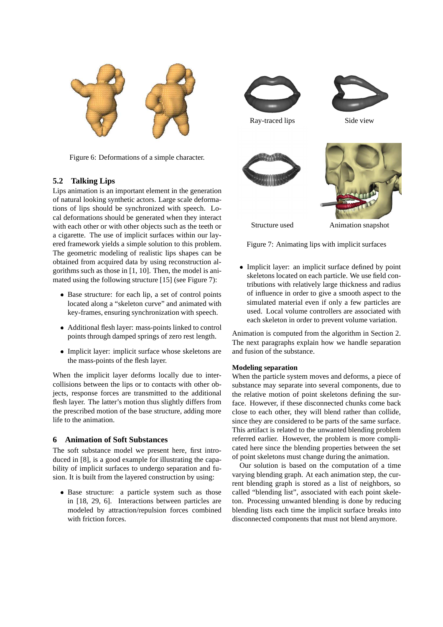

Figure 6: Deformations of a simple character.

# **5.2 Talking Lips**

Lips animation is an important element in the generation of natural looking synthetic actors. Large scale deformations of lips should be synchronized with speech. Local deformations should be generated when they interact with each other or with other objects such as the teeth or a cigarette. The use of implicit surfaces within our layered framework yields a simple solution to this problem. The geometric modeling of realistic lips shapes can be obtained from acquired data by using reconstruction algorithms such as those in [1, 10]. Then, the model is animated using the following structure [15] (see Figure 7):

- Base structure: for each lip, a set of control points located along a "skeleton curve" and animated with key-frames, ensuring synchronization with speech.
- Additional flesh layer: mass-points linked to control points through damped springs of zero rest length.
- Implicit layer: implicit surface whose skeletons are the mass-points of the flesh layer.

When the implicit layer deforms locally due to intercollisions between the lips or to contacts with other objects, response forces are transmitted to the additional flesh layer. The latter's motion thus slightly differs from the prescribed motion of the base structure, adding more life to the animation.

## **6 Animation of Soft Substances**

The soft substance model we present here, first introduced in [8], is a good example for illustrating the capability of implicit surfaces to undergo separation and fusion. It is built from the layered construction by using:

 Base structure: a particle system such as those in [18, 29, 6]. Interactions between particles are modeled by attraction/repulsion forces combined with friction forces.



Figure 7: Animating lips with implicit surfaces

 Implicit layer: an implicit surface defined by point skeletons located on each particle. We use field contributions with relatively large thickness and radius of influence in order to give a smooth aspect to the simulated material even if only a few particles are used. Local volume controllers are associated with each skeleton in order to prevent volume variation.

Animation is computed from the algorithm in Section 2. The next paragraphs explain how we handle separation and fusion of the substance.

#### **Modeling separation**

When the particle system moves and deforms, a piece of substance may separate into several components, due to the relative motion of point skeletons defining the surface. However, if these disconnected chunks come back close to each other, they will blend rather than collide, since they are considered to be parts of the same surface. This artifact is related to the unwanted blending problem referred earlier. However, the problem is more complicated here since the blending properties between the set of point skeletons must change during the animation.

Our solution is based on the computation of a time varying blending graph. At each animation step, the current blending graph is stored as a list of neighbors, so called "blending list", associated with each point skeleton. Processing unwanted blending is done by reducing blending lists each time the implicit surface breaks into disconnected components that must not blend anymore.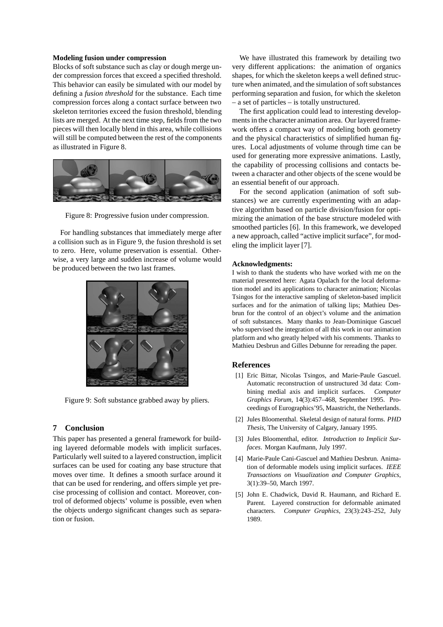#### **Modeling fusion under compression**

Blocks of soft substance such as clay or dough merge under compression forces that exceed a specified threshold. This behavior can easily be simulated with our model by defining a *fusion threshold* for the substance. Each time compression forces along a contact surface between two skeleton territories exceed the fusion threshold, blending lists are merged. At the next time step, fields from the two pieces will then locally blend in this area, while collisions will still be computed between the rest of the components as illustrated in Figure 8.



Figure 8: Progressive fusion under compression.

For handling substances that immediately merge after a collision such as in Figure 9, the fusion threshold is set to zero. Here, volume preservation is essential. Otherwise, a very large and sudden increase of volume would be produced between the two last frames.



Figure 9: Soft substance grabbed away by pliers.

## **7 Conclusion**

This paper has presented a general framework for building layered deformable models with implicit surfaces. Particularly well suited to a layered construction, implicit surfaces can be used for coating any base structure that moves over time. It defines a smooth surface around it that can be used for rendering, and offers simple yet precise processing of collision and contact. Moreover, control of deformed objects' volume is possible, even when the objects undergo significant changes such as separation or fusion.

We have illustrated this framework by detailing two very different applications: the animation of organics shapes, for which the skeleton keeps a well defined structure when animated, and the simulation of soft substances performing separation and fusion, for which the skeleton – a set of particles – is totally unstructured.

The first application could lead to interesting developments in the character animation area. Our layered framework offers a compact way of modeling both geometry and the physical characteristics of simplified human figures. Local adjustments of volume through time can be used for generating more expressive animations. Lastly, the capability of processing collisions and contacts between a character and other objects of the scene would be an essential benefit of our approach.

For the second application (animation of soft substances) we are currently experimenting with an adaptive algorithm based on particle division/fusion for optimizing the animation of the base structure modeled with smoothed particles [6]. In this framework, we developed a new approach, called "active implicit surface", for modeling the implicit layer [7].

#### **Acknowledgments:**

I wish to thank the students who have worked with me on the material presented here: Agata Opalach for the local deformation model and its applications to character animation; Nicolas Tsingos for the interactive sampling of skeleton-based implicit surfaces and for the animation of talking lips; Mathieu Desbrun for the control of an object's volume and the animation of soft substances. Many thanks to Jean-Dominique Gascuel who supervised the integration of all this work in our animation platform and who greatly helped with his comments. Thanks to Mathieu Desbrun and Gilles Debunne for rereading the paper.

#### **References**

- [1] Eric Bittar, Nicolas Tsingos, and Marie-Paule Gascuel. Automatic reconstruction of unstructured 3d data: Combining medial axis and implicit surfaces. *Computer Graphics Forum*, 14(3):457–468, September 1995. Proceedings of Eurographics'95, Maastricht, the Netherlands.
- [2] Jules Bloomenthal. Skeletal design of natural forms. *PHD Thesis*, The University of Calgary, January 1995.
- [3] Jules Bloomenthal, editor. *Introduction to Implicit Surfaces*. Morgan Kaufmann, July 1997.
- [4] Marie-Paule Cani-Gascuel and Mathieu Desbrun. Animation of deformable models using implicit surfaces. *IEEE Transactions on Visualization and Computer Graphics*, 3(1):39–50, March 1997.
- [5] John E. Chadwick, David R. Haumann, and Richard E. Parent. Layered construction for deformable animated characters. *Computer Graphics*, 23(3):243–252, July 1989.